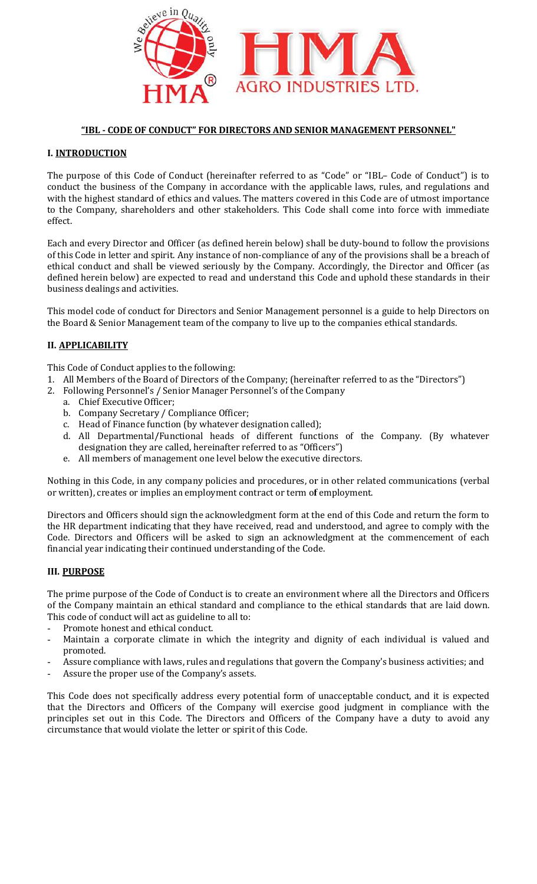

# "IBL - CODE OF CONDUCT" FOR DIRECTORS AND SENIOR MANAGEMENT

# I. INTRODUCTION

The purpose of this Code of Conduct (hereinafter referred to as "Code" or "IBL- Code of Conduct") is to conduct the business of the Company in accordance with the applicable laws, rules, and regulations and with the highest standard of ethics and values. The matters covered in this Code are of utmost importance to the Company, shareholders and other stakeholders. This Code shall come into force with immediate<br>effect.<br>Each and every Director and Officer (as defined herein below) shall be duty-bound to follow the provisions effect.

Each and every Director and Officer (as defined herein below) shall be duty of this Code in letter and spirit. Any instance of non-compliance of any of the provisions shall be a breach of ethical conduct and shall be viewed seriously by the Company. Accordingly, the Director and Officer (as defined herein below) are expected to read and understand this Code and uphold these standards in their business dealings and activities. CODE OF CONDUCT" FOR DIRECTORS AND SENIOR MANAGEMENT PERSONNEL."<br>
TON<br>
TON<br>
TON<br>
TON<br>
THE S Code of Conduct (hereinafter referred to as "Code" or "1BI- Code of Conductives<br>
states of the Company in accordance with the appl r "IBL- Code of Conduct") is to<br>aws, rules, and regulations and<br>Code are of utmost importance<br>ome into force with immediate<br>r-bound to follow the provisions<br>e provisions shall be a breach of<br>gly, the Director and Officer (

This model code of conduct for Directors and Senior Management personnel is a guide to help Directors on the Board & Senior Management team of the company to live up to the companies ethical standards. ngs and activities.<br>de of conduct for Directors and Sen<br>enior Management team of the comp<br>**ILITY**<br>onduct applies to the following:<br>ers of the Board of Directors of the C<br>Personnel's / Senior Manager Persc<br>Executive Officer

# II. APPLICABILITY

This Code of Conduct applies to the following:

- 1. All Members of the Board of Directors of the Company; (hereinafter referred to as the "Directors")
- 2. Following Personnel's / Senior Manager Personnel's of the Company
	- a. Chief Executive Officer;
	- b. Company Secretary / Compliance Officer;
	- c. Head of Finance function (by whatever designation called);
- d. All Departmental/Functional heads of different functions of the Company. (By whatever designation they are called, hereinafter referred to as "Officers") Management team of the company to live up to the companies ethical stand<br>
to tapplies to the following:<br>
the Board of Directors of the Company; (hereinafter referred to as the "Donnel's / Senior Manager Personnel's of the
	- e. All members of management one level below the executive directors.

Nothing in this Code, in any company policies and procedures, or in other related communications (verbal or written), creates or implies an employment contract or term of employment.

Directors and Officers should sign the acknowledgment form at the end of this Code and return the form to Directors and Officers should sign the acknowledgment form at the end of this Code and return the form to<br>the HR department indicating that they have received, read and understood, and agree to comply with the Code. Directors and Officers will be asked to sign an acknowledgment at the commencement of each financial year indicating their continued understanding of the Code.

#### III. PURPOSE

The prime purpose of the Code of Conduct is to create an environment where all the Directors and Officers of the Company maintain an ethical standard and compliance to the ethical standards that are laid down. This code of conduct will act as guideline to all to: of the Company maintain an ethical standard and compliance to the ethical standards that are laid down.<br>This code of conduct will act as guideline to all to:<br>- Promote honest and ethical conduct.<br>- Maintain a cor

- Promote honest and ethical conduct.
- promoted.
- Assure compliance with laws, rules and regulations that govern the Company's business activities; and
- Assure the proper use of the Company's assets.

This Code does not specifically address every potential form of unacceptable conduct, and it is expected that the Directors and Officers of the Company will exercise good judgment in compliance with the principles set out in this Code. The Directors and Officers of the Company have a duty to avoid any circumstance that would violate the letter or spirit of this Code. ce with laws, rules and regulations that govern the Company's business activities; and<br>er use of the Company's assets.<br>specifically address every potential form of unacceptable conduct, and it is expected<br>and Officers of t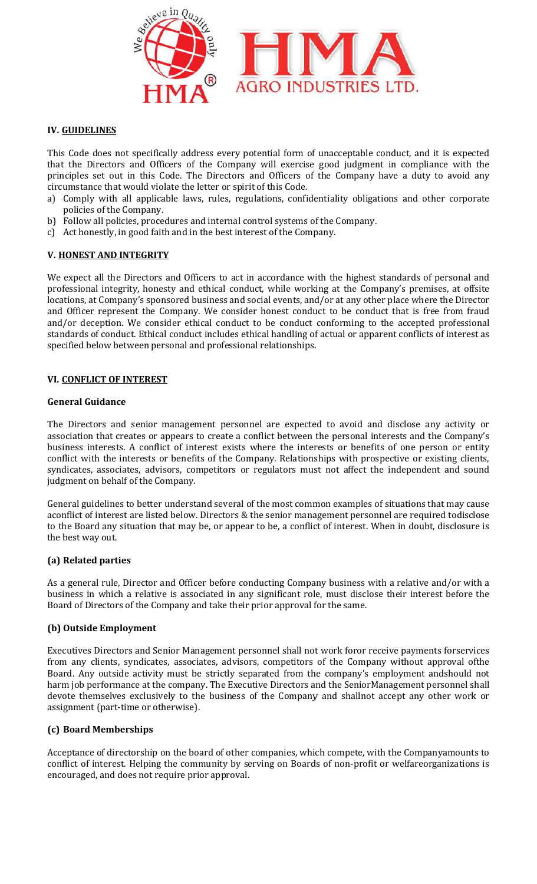

# IV. GUIDELINES

This Code does not specifically address every potential form of unacceptable conduct, and it is expected that the Directors and Officers of the Company will exercise good judgment in compliance with the This Code does not specifically address every potential form of unacceptable conduct, and it is expected that the Directors and Officers of the Company will exercise good judgment in compliance with the principles set out circumstance that would violate the letter or spirit of this Code.

- a) Comply with all applicable laws, rules, regulations, confidentiality obligations and other corporate policies of the Company.
- b) Follow all policies, procedures and internal control systems of the Company.
- c) Act honestly, in good faith and in the best interest of the Company.

### V. HONEST AND INTEGRITY

We expect all the Directors and Officers to act in accordance with the highest standards of personal and professional integrity, honesty and ethical conduct, while working at the Company's premises, at offsite locations, at Company's sponsored business and social events, and/or at any other place where the Director and Officer represent the Company. We consider honest conduct to be conduct that is free from fraud and/or deception. We consider ethical conduct to be conduct conforming to the accepted professional locations, at Company's sponsored business and social events, and/or at any other place where the Director and Officer represent the Company. We consider honest conduct to be conduct that is free from fraud and/or deceptio specified below between personal and professional relationships. tandards of personal and<br>pany's premises, at offsite<br>r place where the Director<br>tt that is free from fraud<br>he accepted professional<br>ent conflicts of interest as<br>disclose any activity or<br>erests and the Company's<br>i of one pe

#### VI. CONFLICT OF INTEREST

#### General Guidance

The Directors and senior management personnel are expected to avoid and disclose any activity or The Directors and senior management personnel are expected to avoid and disclose any activity or association that creates or appears to create a conflict between the personal interests and the Company's business interests. A conflict of interest exists where the interests or benefits of one person or entity conflict with the interests or benefits of the Company. Relationships with prospective or existing clients, syndicates, associates, advisors, competitors or regulators must not affect the independent and sound<br>judgment on behalf of the Company.<br>General guidelines to better understand several of the most common examples of situat judgment on behalf of the Company.

General guidelines to better understand several of the most common examples of situations that may cause aconflict of interest are listed below. Directors & the senior management personnel are required todisclose to the Board any situation that may be, or appear to be, a conflict of interest. When in doubt, disclosure is the best way out.

### (a) Related parties

As a general rule, Director and Officer before conducting Company business with a relative and/or with a business in which a relative is associated in any significant role, must disclose their interest before the Board of Directors of the Company and take their prior approval for the same. As a general rule, Director and Officer before conducting Company business with a relative and/or with a business in which a relative is associated in any significant role, must disclose their interest before the Board of

#### (b) Outside Employment

from any clients, syndicates, associates, advisors, competitors of the Company without approval ofthe Board. Any outside activity must be strictly separated from the company's employment andshould not<br>harm job performance at the company. The Executive Directors and the SeniorManagement personnel shall harm job performance at the company. The Executive Directors and the SeniorManagement personnel shall devote themselves exclusively to the business of the Company and shallnot accept any other work or assignment (part-time or otherwise). competitors of the Company without approval of<br>the ted from the company's employment andshould not<br>Prectors and the SeniorManagement personnel shall<br>the Company and shallnot accept any other work or<br>panies, which compete,

#### (c) Board Memberships

assignment (part-time or otherwise).<br>**(c) Board Memberships**<br>Acceptance of directorship on the board of other companies, which compete, with the Companyamounts to conflict of interest. Helping the community by serving on Boards of non-profit or welfareorganizations is encouraged, and does not require prior approval. of the Company and shallnot accept any other work or<br>r companies, which compete, with the Companyamounts to<br>serving on Boards of non-profit or welfareorganizations is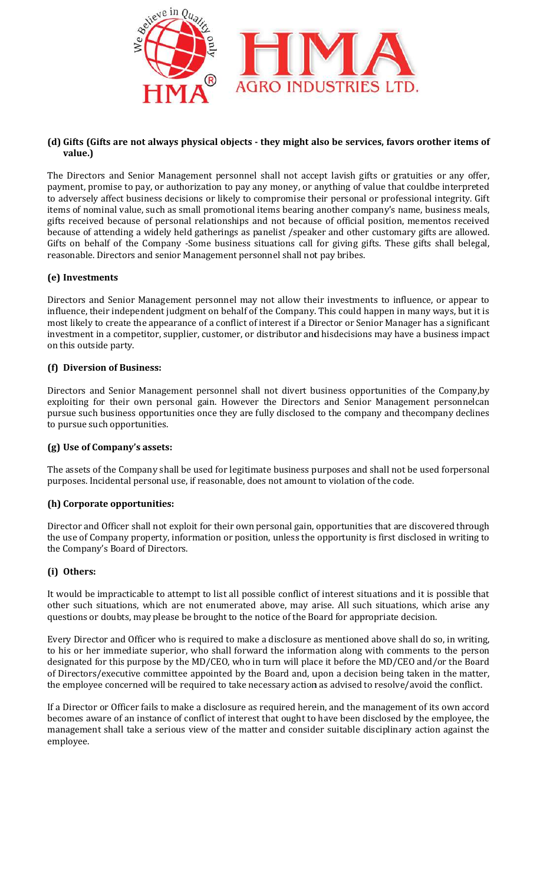

### (d) Gifts (Gifts are not always physical objects - they might also be services, favors orother items of value.)

The Directors and Senior Management personnel shall not accept lavish gifts or gratuities or any offer, payment, promise to pay, or authorization to pay any money, or anything of value that couldbe interpreted to adversely affect business decisions or likely to compromise their personal or professional integrity. Gift items of nominal value, such as small promotional items bearing another company's name, business meals, gifts received because of personal relationships and not because of because because of official position, mementos received because of attending a widely held gatherings as panelist /speaker and other customary gifts are allowed. because of attending a widely held gatherings as panelist /speaker and other customary gifts are allowed.<br>Gifts on behalf of the Company -Some business situations call for giving gifts. These gifts shall belegal, reasonable. Directors and senior Management personnel shall not pay bribes. professional integrity. Gift<br>ny's name, business meals,<br>sition, mementos received<br>stomary gifts are allowed.<br>These gifts shall belegal,<br>to influence, or appear to

# (e) Investments

reasonable. Directors and senior Management personnel shall not pay bribes.<br>**(e) Investments**<br>Directors and Senior Management personnel may not allow their investments to influence, or appear influence, their independent judgment on behalf of the Company. This could happen in many ways, but it is most likely to create the appearance of a conflict of interest if a Director or Senior Manager has a significant investment in a competitor, supplier, customer, or distributor and hisdecisions may have a business impact on this outside party. ialf of the Company. This could happen in many ways, but it is<br>lict of interest if a Director or Senior Manager has a significant<br>er, or distributor and hisdecisions may have a business impact<br>l shall not divert business o

### (f) Diversion of Business:

Directors and Senior Management personnel shall not divert business opportunities of the Company, by exploiting for their own personal gain. However the Directors and Senior Management personnelcan pursue such business opportunities once they are fully disclosed to the company and thecompany declines to pursue such opportunities. Directors and Senior Management personnel shall not divert business opportunities of the Company,by exploiting for their own personal gain. However the Directors and Senior Management personnelcan pursue such business oppo

#### (g) Use of Company's assets:

The assets of the Company shall be used for legitimate business purposes and shall not be used forpersonal purposes. Incidental personal use, if reasonable, does not amount to violation of the code.

### (h) Corporate opportunities:

Director and Officer shall not exploit for their own personal gain, opportunities that are discovered through the use of Company property, information or position, unless the opportunity is first disclosed in writing to the Company's Board of Directors.

### (i) Others:

It would be impracticable to attempt to list all possible conflict of interest situations and it is possible that It would be impracticable to attempt to list all possible conflict of interest situations and it is possible that<br>other such situations, which are not enumerated above, may arise. All such situations, which arise any questions or doubts, may please be brought to the notice of the Board for appropriate appropriate decision.

Every Director and Officer who is required to make a disclosure as mentioned above shall do so, in writing, to his or her immediate superior, who shall forward the information along with comments to the person to his or her immediate superior, who shall forward the information along with comments to the person<br>designated for this purpose by the MD/CEO, who in turn will place it before the MD/CEO and/or the Board of Directors/executive committee appointed by the Board and, upon a decision being taken in the matter, the employee concerned will be required to take necessary action as advised to resolve/avoid the conflict. ise any<br>writing,<br>person<br>e Board<br>matter,

the employee concerned will be required to take necessary action as advised to resolve/avoid the conflict.<br>If a Director or Officer fails to make a disclosure as required herein, and the management of its own accord becomes aware of an instance of conflict of interest that ought to have been disclosed by the employee, the becomes aware of an instance of conflict of interest that ought to have been disclosed by the employee, the<br>management shall take a serious view of the matter and consider suitable disciplinary action against the employee.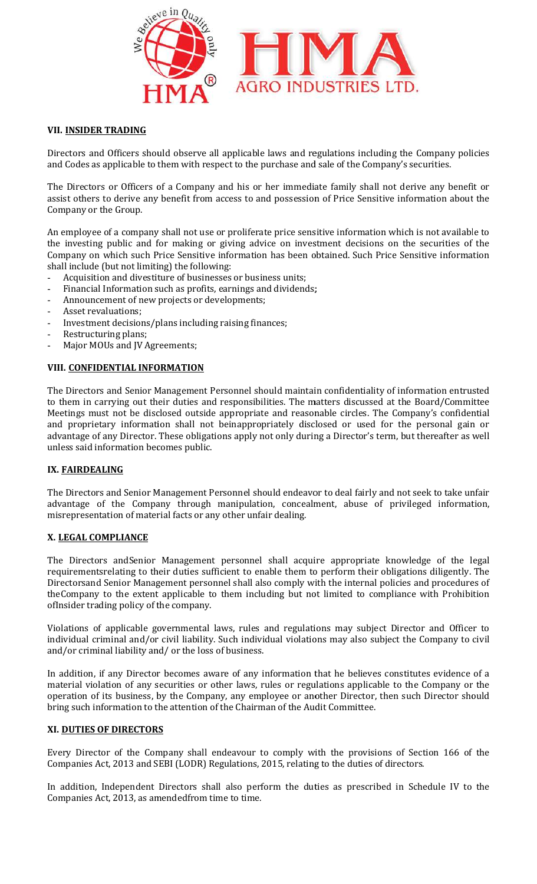

# VII. INSIDER TRADING

Directors and Officers should observe all applicable laws and regulations including the Company policies and Codes as applicable to them with respect to the purchase and sale of the Company's securities.

The Directors or Officers of a Company and his or her immediate family shall not derive any benefit or assist others to derive any benefit from access to and possession of Price Sensitive information about the Company or the Group. and Codes as applicable to them with respect to the purchase and sale of the Company's securities.<br>The Directors or Officers of a Company and his or her immediate family shall not derive any benefit or<br>assist others to der

An employee of a company shall not use or proliferate price sensitive information which is not available to the investing public and for making or giving advice on investment decisions on the securities of the Company on which such Price Sensitive information has been obtained. shall include (but not limiting) the following: ny shall not use or p<br>d for making or givi<br>e Price Sensitive info<br>iting) the following: on which such Price Sensitive information has been obtained. Such Price Sensitive information

- Acquisition and divestiture of businesses or business units;
- Financial Information such as profits, earnings and dividends;
- Announcement of new projects or developments;
- Asset revaluations;
- Investment decisions/plans including raising finances;
- Restructuring plans;
- Major MOUs and JV Agreements;

#### VIII. CONFIDENTIAL INFORMATION

The Directors and Senior Management Personnel should maintain confidentiality of information entrusted to them in carrying out their duties and responsibilities. The matters discussed at the Board/Committee Meetings must not be disclosed outside appropriate and reasonable circles. The Company's confidential and proprietary information shall not beinappropriately disclosed or used for the personal gain or advantage of any Director. These obligations apply not only during a Director's term, but thereafter as well unless said information becomes public. - Financial Information such as profits, earnings and dividends;<br>- Announcement of new projects or developments;<br>- Asset revaluations;<br>- Investment decisions/plans including raising finances;<br>- Restructuring plans;<br>- Major been obtained. Such Price Sensitive information<br>inits;<br>intends;<br>idends;<br>idends;<br>idends;<br>idends;<br>intends in all policies are to Board/Committee<br>Ireasonable circles. The Company's confidential<br>by disribed or used for the per

### IX. FAIRDEALING

The Directors and Senior Management Personnel should endeavor to deal fairly and not seek to take unfair advantage of the Company through manipulation, concealment, abuse of privileged information, misrepresentation of material facts or any other unfair dealing. etary information shall not beinappropriately disclosed or used for the personal gain or f any Director. These obligations apply not only during a Director's term, but thereafter as well information becomes public.<br>ALING<br>A

#### X. LEGAL COMPLIANCE

The Directors andSenior Management personnel shall acquire appropriate knowledge of the legal requirementsrelating to their duties sufficient to enable them to perform their obligations diligently. The Directorsand Senior Management personnel shall also comply with the internal policies and procedures of theCompany to the extent applicable to them including but not limited to compliance with Prohibition ofInsider trading policy of the company. is and<br>Senior Management personnel shall acquire as and<br>Senior Management personnel shall also comply with to the extent applicable to them including but not lire<br>ing policy of the company.<br>The including but not live in th

Violations of applicable governmental laws, rules and regulations may subject Director and Officer to individual criminal and/or civil liability. Such individual violations may also subject the Company to civil and/or criminal liability and/ or the loss of business.

In addition, if any Director becomes aware of any information that he believes constitutes evidence of a material violation of any securities or other laws, rules or regulations applicable to the Company or the operation of its business, by the Company, any employee or another Director, then such Director should bring such information to the attention of the Chairman of the Audit Committee.

#### XI. DUTIES OF DIRECTORS

Every Director of the Company shall endeavour to comply with the provisions of Section 166 of the Companies Act, 2013 and SEBI (LODR) Regulations, 2015, relating to the duties of directors. ion of its business, by the Company, any employee or another Director, then such Director sho<br>uch information to the attention of the Chairman of the Audit Committee.<br>TIES OF DIRECTORS<br>Director of the Company shall endeavo

In addition, Independent Directors shall also perform the duties as prescribed in Schedule IV to the Companies Act, 2013, as amendedfrom time to time.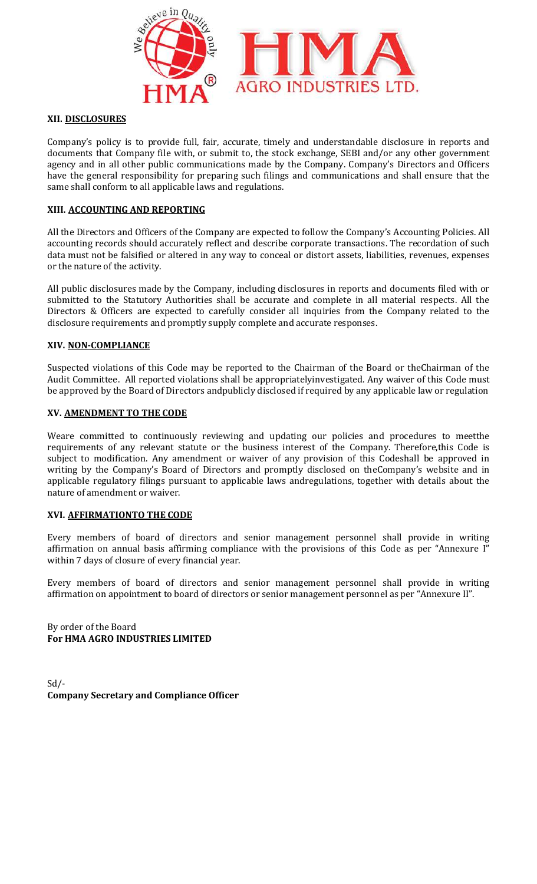

#### XII. DISCLOSURES

Company's policy is to provide full, fair, accurate, timely and understandable disclosure in reports and documents that Company file with, or submit to, the stock exchange, SEBI and/or any other government agency and in all other public communications made by the Company. Company's Directors and Officers have the general responsibility for preparing such filings and communications and shall ensure that the same shall conform to all applicable laws and regulations.

#### XIII. ACCOUNTING AND REPORTING

All the Directors and Officers of the Company are expected to follow the Company's Accounting Policies. All accounting records should accurately reflect and describe corporate transactions. The recordation of such data must not be falsified or altered in any way to conceal or distort assets, liabilities, revenues, expenses or the nature of the activity. al responsib<br>orm to all ap<br>**ING AND RE**<br>s and Officer<br>ords should a<br>pe falsified of<br>the activity.<br>osures made<br>he Statutory<br>ficers are ex

All public disclosures made by the Company, including disclosures in reports and documents filed with or submitted to the Statutory Authorities shall be accurate and complete in all material respects. All the Directors & Officers are expected to carefully consider all inquiries from the Company related to the disclosure requirements and promptly supply complete and accurate responses. All public disclosures made by the Company, including disclosures in reports and documents filed with or<br>submitted to the Statutory Authorities shall be accurate and complete in all material respects. All the<br>Directors & O

#### XIV. NON-COMPLIANCE

disclosure requirements and promptly supply complete and accurate responses.<br>XIV. <u>NON-COMPLIANCE</u><br>Suspected violations of this Code may be reported to the Chairman of the Board or theChairman of the Audit Committee. All reported violations shall be appropriatelyinvestigated. Any waiver of this Code must be approved by the Board of Directors andpublicly disclosed if required by any applicable law or regulation

#### XV. AMENDMENT TO THE CODE

be approved by the Board of Directors andpublicly disclosed if required by any applicable law or regulation<br>**XV. <u>AMENDMENT TO THE CODE</u>**<br>Weare committed to continuously reviewing and updating our policies and procedures t requirements of any relevant statute or the business interest of the Company. Therefore,this Code is subject to modification. Any amendment or waiver of any provision of this Codeshall be approved in subject to modification. Any amendment or waiver of any provision of this Codeshall be approved in writing by the Company's Board of Directors and promptly disclosed on theCompany's website and in applicable regulatory filings pursuant to applicable laws andregulations, together with details about the nature of amendment or waiver. Company's Accounting Policies. All<br>nsactions. The recordation of such<br>sets, liabilities, revenues, expenses<br>ports and documents filed with or<br>e in all material respects. All the<br>from the Company related to the<br>ponses.<br>The

#### XVI. AFFIRMATIONTO THE CODE

Every members of board of directors and senior management personnel shall provide in writing nature of amendment or waiver.<br>**XVI. <u>AFFIRMATIONTO THE CODE</u><br>Every members of board of directors and senior management personnel shall provide in writing<br>affirmation on annual basis affirming compliance with the provision** within 7 days of closure of every financial year.

Every members of board of directors and senior management personnel shall provide in writing affirmation on appointment to board of directors or senior management personnel as per "Annexure II".

By order of the Board For HMA AGRO INDUSTRIES LIMITED

 $Sd$  /-Company Secretary and Compliance Officer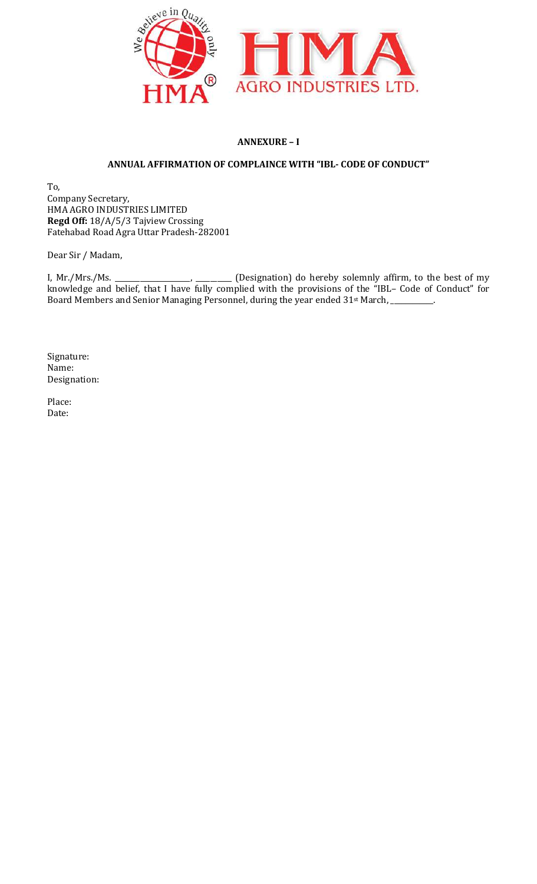

# ANNEXURE – I

# ANNUAL AFFIRMATION OF COMPLAINCE WITH "IBL- CODE OF CONDUCT"

To, Company Secretary, HMA AGRO INDUSTRIES LIMITED Regd Off: 18/A/5/3 Tajview Crossing Fatehabad Road Agra Uttar Pradesh Pradesh-282001

Dear Sir / Madam,

I, Mr./Mrs./Ms. \_\_\_\_\_\_\_\_\_\_\_\_\_\_\_\_\_\_\_\_\_, \_\_\_\_\_\_\_\_\_\_ (Designation) knowledge and belief, that I have fully complied with the provisions of the " Board Members and Senior Managing Personnel, during the year ended 31<sup>st</sup> March, \_\_\_\_\_\_\_\_\_\_. do hereby solemnly affirm, to the best of my IBL– Code of Conduct" for

Signature: Name: Designation:

Place: Date: